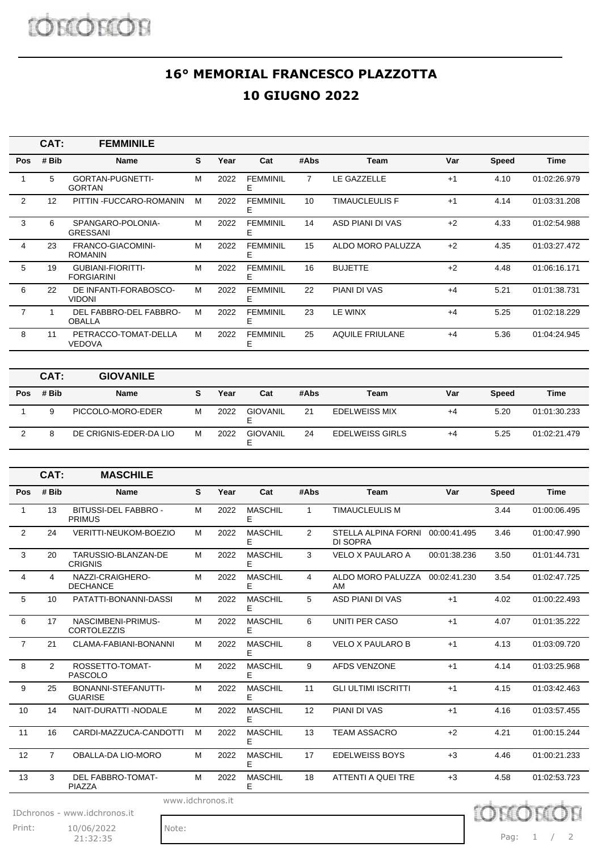## **16° MEMORIAL FRANCESCO PLAZZOTTA 10 GIUGNO 2022**

|                | CAT:  | <b>FEMMINILE</b>                              |   |      |                      |      |                        |      |              |              |
|----------------|-------|-----------------------------------------------|---|------|----------------------|------|------------------------|------|--------------|--------------|
| Pos            | # Bib | Name                                          | S | Year | Cat                  | #Abs | Team                   | Var  | <b>Speed</b> | Time         |
|                | 5     | GORTAN-PUGNETTI-<br><b>GORTAN</b>             | м | 2022 | <b>FEMMINIL</b><br>E | 7    | LE GAZZELLE            | $+1$ | 4.10         | 01:02:26.979 |
| 2              | 12    | PITTIN - FUCCARO-ROMANIN                      | м | 2022 | <b>FEMMINIL</b><br>E | 10   | <b>TIMAUCLEULIS F</b>  | $+1$ | 4.14         | 01:03:31.208 |
| 3              | 6     | SPANGARO-POLONIA-<br><b>GRESSANI</b>          | M | 2022 | <b>FEMMINIL</b><br>Е | 14   | ASD PIANI DI VAS       | $+2$ | 4.33         | 01:02:54.988 |
| 4              | 23    | FRANCO-GIACOMINI-<br><b>ROMANIN</b>           | M | 2022 | <b>FEMMINIL</b><br>F | 15   | ALDO MORO PALUZZA      | $+2$ | 4.35         | 01:03:27.472 |
| 5              | 19    | <b>GUBIANI-FIORITTI-</b><br><b>FORGIARINI</b> | M | 2022 | <b>FEMMINIL</b><br>F | 16   | <b>BUJETTE</b>         | $+2$ | 4.48         | 01:06:16.171 |
| 6              | 22    | DE INFANTI-FORABOSCO-<br><b>VIDONI</b>        | м | 2022 | <b>FEMMINIL</b><br>Е | 22   | <b>PIANI DI VAS</b>    | $+4$ | 5.21         | 01:01:38.731 |
| $\overline{7}$ |       | DEL FABBRO-DEL FABBRO-<br><b>OBALLA</b>       | M | 2022 | <b>FEMMINIL</b><br>E | 23   | LE WINX                | $+4$ | 5.25         | 01:02:18.229 |
| 8              | 11    | PETRACCO-TOMAT-DELLA<br><b>VEDOVA</b>         | м | 2022 | <b>FEMMINIL</b><br>E | 25   | <b>AQUILE FRIULANE</b> | $+4$ | 5.36         | 01:04:24.945 |

|            | CAT:  | <b>GIOVANILE</b>       |   |      |                 |      |                        |     |              |              |
|------------|-------|------------------------|---|------|-----------------|------|------------------------|-----|--------------|--------------|
| <b>Pos</b> | # Bib | <b>Name</b>            | S | Year | Cat             | #Abs | Team                   | Var | <b>Speed</b> | <b>Time</b>  |
|            | 9     | PICCOLO-MORO-EDER      | М | 2022 | <b>GIOVANIL</b> | 21   | <b>EDELWEISS MIX</b>   | +4  | 5.20         | 01:01:30.233 |
|            |       | DE CRIGNIS-EDER-DA LIO | М | 2022 | <b>GIOVANIL</b> | 24   | <b>EDELWEISS GIRLS</b> | +4  | 5.25         | 01:02:21.479 |

|                | CAT:                                                      | <b>MASCHILE</b>                          |   |      |                     |                |                                              |              |              |              |
|----------------|-----------------------------------------------------------|------------------------------------------|---|------|---------------------|----------------|----------------------------------------------|--------------|--------------|--------------|
| Pos            | # Bib                                                     | <b>Name</b>                              | S | Year | Cat                 | #Abs           | <b>Team</b>                                  | Var          | <b>Speed</b> | <b>Time</b>  |
| $\mathbf{1}$   | 13                                                        | BITUSSI-DEL FABBRO -<br><b>PRIMUS</b>    | M | 2022 | <b>MASCHIL</b><br>Е | $\mathbf{1}$   | <b>TIMAUCLEULIS M</b>                        |              | 3.44         | 01:00:06.495 |
| $\overline{2}$ | 24                                                        | <b>VERITTI-NEUKOM-BOEZIO</b>             | M | 2022 | <b>MASCHIL</b><br>E | 2              | STELLA ALPINA FORNI 00:00:41.495<br>DI SOPRA |              | 3.46         | 01:00:47.990 |
| 3              | 20                                                        | TARUSSIO-BLANZAN-DE<br><b>CRIGNIS</b>    | M | 2022 | <b>MASCHIL</b><br>Е | 3              | VELO X PAULARO A                             | 00:01:38.236 | 3.50         | 01:01:44.731 |
| $\overline{4}$ | 4                                                         | NAZZI-CRAIGHERO-<br><b>DECHANCE</b>      | M | 2022 | <b>MASCHIL</b><br>Е | $\overline{4}$ | ALDO MORO PALUZZA 00:02:41.230<br>AM         |              | 3.54         | 01:02:47.725 |
| 5              | 10                                                        | PATATTI-BONANNI-DASSI                    | M | 2022 | <b>MASCHIL</b><br>E | 5              | ASD PIANI DI VAS                             | $+1$         | 4.02         | 01:00:22.493 |
| 6              | 17                                                        | NASCIMBENI-PRIMUS-<br><b>CORTOLEZZIS</b> | M | 2022 | <b>MASCHIL</b><br>Е | 6              | UNITI PER CASO                               | $+1$         | 4.07         | 01:01:35.222 |
| $\overline{7}$ | 21                                                        | CLAMA-FABIANI-BONANNI                    | M | 2022 | <b>MASCHIL</b><br>E | 8              | <b>VELO X PAULARO B</b>                      | $+1$         | 4.13         | 01:03:09.720 |
| 8              | $\overline{2}$                                            | ROSSETTO-TOMAT-<br><b>PASCOLO</b>        | M | 2022 | <b>MASCHIL</b><br>Е | 9              | <b>AFDS VENZONE</b>                          | $+1$         | 4.14         | 01:03:25.968 |
| 9              | 25                                                        | BONANNI-STEFANUTTI-<br><b>GUARISE</b>    | M | 2022 | <b>MASCHIL</b><br>F | 11             | <b>GLI ULTIMI ISCRITTI</b>                   | $+1$         | 4.15         | 01:03:42.463 |
| 10             | 14                                                        | NAIT-DURATTI-NODALE                      | M | 2022 | <b>MASCHIL</b><br>E | 12             | PIANI DI VAS                                 | $+1$         | 4.16         | 01:03:57.455 |
| 11             | 16                                                        | CARDI-MAZZUCA-CANDOTTI                   | M | 2022 | <b>MASCHIL</b><br>Е | 13             | <b>TEAM ASSACRO</b>                          | $+2$         | 4.21         | 01:00:15.244 |
| 12             | $\overline{7}$                                            | OBALLA-DA LIO-MORO                       | M | 2022 | <b>MASCHIL</b><br>F | 17             | <b>EDELWEISS BOYS</b>                        | $+3$         | 4.46         | 01:00:21.233 |
| 13             | 3                                                         | <b>DEL FABBRO-TOMAT-</b><br>PIAZZA       | M | 2022 | <b>MASCHIL</b><br>Е | 18             | ATTENTI A QUEI TRE                           | $+3$         | 4.58         | 01:02:53.723 |
|                | www.idchronos.it<br>chror<br>IDchronos - www.idchronos.it |                                          |   |      |                     |                |                                              |              |              |              |

Print: 10/06/2022 Note: 21:32:35

Pag: 1 / 2